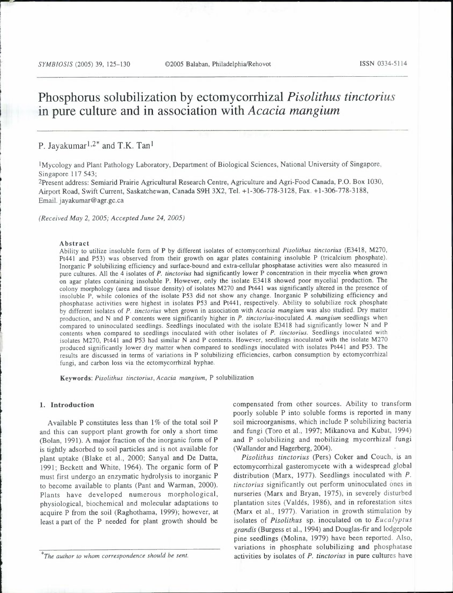**r**  I i

# **Phosphorus solubilization by ectomycorrhizal** *Pisolithus tinctorius*  **in pure culture and in association with** *Acacia mangium*

# P. Jayakumar<sup>1,2\*</sup> and T.K. Tan<sup>1</sup>

I Mycology and Plant Pathology Laboratory, Department of Biological Sciences, National University of Singapore, Singapore 117 543;

2Present address: Semiarid Prairie Agricultural Research Centre, Agriculture and Agri-Food Canada, P.O. Box 1030, Airport Road, Swift Current, Saskatchewan, Canada S9H 3X2, Tel. +1-306-778-3128, Fax. +1-306-778-3188, Email. jayakumar@agr.gc.ca

*(Received May* 2, *2005; Accepted June 24, 2005)* 

#### Abstract

Ability to utilize insoluble form of P by different isolates of ectomycorrhizal *Pisolithus tinctorius* (E3418, M270, Pt441 and P53) was observed from their growth on agar plates containing insoluble P (tricalcium phosphate). Inorganic P solubilizing efficiency and surface-bound and extra-cellular phosphatase activities were also measured in pure cultures. All the 4 isolates of *P. tinctorius* had significantly lower P concentration in their mycelia when grown on agar plates containing insoluble P. However, only the isolate E3418 showed poor mycelial production. The colony morphology (area and tissue density) of isolates M270 and Pt441 was significantly altered in the presence of insoluble P, while colonies of the isolate P53 did not show any change. Inorganic P solubilizing efficiency and phosphatase activities were highest in isolates P53 and Pt441, respectively. Ability to solubilize rock phosphate by different isolates of *P. tinctorius* when grown in association with *Acacia mangium* was also studied. Dry matter production, and N and P contents were significantly higher in *P. tinctorius-inoculated A. mangium* seedlings when compared to uninoculated seedlings. Seedlings inoculated with the isolate E3418 had significantly lower N and P contents when compared to seedlings inoculated with other isolates of *P. tinctorius.* Seedlings inoculated with isolates M270, Pt441 and P53 had similar N and P contents. However, seedlings inoculated with the isolate M270 produced significantly lower dry matter when compared to seedlings inoculated with isolates Pt441 and P53. The results are discussed in terms of variations in P solubilizing efficiencies, carbon consumption by ectomycorrhizal fungi, and carbon loss via the ectomycorrhizal hyphae.

Keywords: *Pisolithus tinctorius, Acacia mangium,* P solubilization

# **1. Introduction**

Available P constitutes less than  $1\%$  of the total soil P and this can support plant growth for only a short time (Bolan, 1991). A major fraction of the inorganic form of P is tightly adsorbed to soil particles and is not available for plant uptake (Blake et al., 2000; Sanyal and De Datta, 1991; Beckett and White, 1964). The organic form of P must first undergo an enzymatic hydrolysis to inorganic P to become available to plants (Pant and Warman, 2000). Plants have developed numerous morphological, physiological, biochemical and molecular adaptations to acquire P from the soil (Raghothama, 1999); however, at least a part of the P needed for plant growth should be compensated from other sources. Ability to transform poorly soluble P into soluble forms is reported in many soil microorganisms, which include P solubilizing bacteria and fungi (Toro et al., 1997; Mikanova and Kubat, 1994) and P solubilizing and mobilizing mycorrhizal fungi (Wallander and Hagerberg, 2004).

*Pisolithus tinctorius* (Pers) Coker and Couch, is an ectomycorrhizal gasteromycete with a widespread global distribution (Marx, 1977). Seedlings inoculated with *P. tinctorius* significantly out perform uninoculated ones in nurseries (Marx and Bryan, 1975), in severely disturbed plantation sites (Valdes, 1986), and in reforestation sites (Marx et al., 1977). Variation in growth stimulation by isolates of *Pisolithus* sp. inoculated on to *Eucalyptus grand is* (Burgess et al., 1994) and Douglas-fir and lodgepole pine seedlings (Molina, 1979) have been reported. Also, variations in phosphate solubilizing and phosphatase activities by isolates of *P. tinctorius* in pure cultures have

*<sup>\*</sup>The author to whom correspondence should be sent.*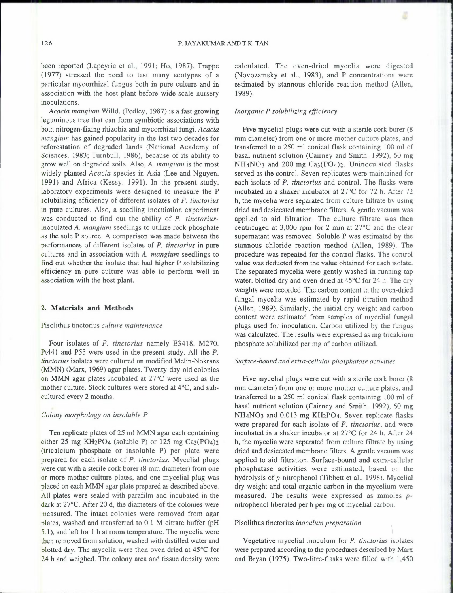been reported (Lapeyrie et al., 1991; Ho, 1987). Trappe ( 1977) stressed the need to test many ecotypes of a particular mycorrhizal fungus both in pure culture and in association with the host plant before wide scale nursery inoculations.

*Acacia mangium* Willd. (Pedley, 1987) is a fast growing leguminous tree that can form symbiotic associations with both nitrogen-fixing rhizobia and mycorrhizal fungi. *Acacia mangium* has gained popularity in the last two decades for reforestation of degraded lands (National Academy of Sciences, 1983; Turnbull, 1986), because of its ability to grow well on degraded soils. Also, *A. mangium* is the most widely planted *Acacia* species in Asia (Lee and Nguyen, 1991) and Africa (Kessy, 1991). In the present study, laboratory experiments were designed to measure the P solubilizing efficiency of different isolates of *P. tinctorius*  in pure cultures. Also, a seedling inoculation experiment was conducted to find out the ability of *P. tinctorius*inoculated *A. mangium* seedlings to utilize rock phosphate as the sole P source. A comparison was made between the performances of different isolates of *P. tinctorius* in pure cultures and in association with *A. mangium* seedlings to find out whether the isolate that had higher P solubilizing efficiency in pure culture was able to perform well in association with the host plant.

# **2. Materials and Methods**

#### Pisolithus tinctorius *culture maintenance*

Four isolates of *P. tinctorius* namely E3418, M270, Pt441 and P53 were used in the present study. All the *P. tinctorius* isolates were cultured on modified Melin-Nokrans (MMN) (Marx, 1969) agar plates. Twenty-day-old colonies on MMN agar plates incubated at 27°C were used as the mother culture. Stock cultures were stored at 4°C, and subcultured every 2 months.

#### *Colony morphology on insoluble P*

Ten replicate plates of 25 ml MMN agar each containing either 25 mg KH2P04 (soluble P) or 125 mg Ca3(P04)2 (tricalcium phosphate or insoluble P) per plate were prepared for each isolate of *P. tinctorius.* Mycelial plugs were cut with a sterile cork borer (8 mm diameter) from one or more mother culture plates, and one mycelial plug was placed on each MMN agar plate prepared as described above. All plates were sealed with parafilm and incubated in the dark at 27°C. After 20 d, the diameters of the colonies were measured. The intact colonies were removed from agar plates, washed and transferred to 0.1 M citrate buffer (pH 5.1), and left for 1 hat room temperature. The mycelia were then removed from solution, washed with distilled water and blotted dry. The mycelia were then oven dried at 45°C for 24 h and weighed. The colony area and tissue density were

calculated. The oven-dried mycelia were digested (Novozamsky et al., 1983), and P concentrations were estimated by stannous chloride reaction method (Allen, 1989).

### *Inorganic P solubilizing efficiency*

Five mycelial plugs were cut with a sterile cork borer (8 mm diameter) from one or more mother culture plates, and transferred to a 250 ml conical flask containing 100 ml of basal nutrient solution (Cairney and Smith, 1992), 60 mg NH4N03 and 200 mg Ca3(P04)2. Uninoculated flasks served as the control. Seven replicates were maintained for each isolate of *P. tinctorius* and control. The flasks were incubated in a shaker incubator at 27°C for 72 h. After 72 h, the mycelia were separated from culture filtrate by using dried and desiccated membrane filters. A gentle vacuum was applied to aid filtration. The culture filtrate was then centrifuged at 3,000 rpm for 2 min at 27°C and the clear supernatant was removed. Soluble P was estimated by the stannous chloride reaction method (Allen, 1989). The procedure was repeated for the control flasks. The control value was deducted from the value obtained for each isolate. The separated mycelia were gently washed in running tap water, blotted-dry and oven-dried at 45°C for 24 h. The dry weights were recorded. The carbon content in the oven-dried fungal mycelia was estimated by rapid titration method (Allen, 1989). Similarly, the initial dry weight and carbon content were estimated from samples of mycelial fungal plugs used for inoculation. Carbon utilized by the fungus was calculated. The results were expressed as mg tricalcium phosphate solubilized per mg of carbon utilized.

#### *Surface-bound and extra-cellular phosphatase activities*

Five mycelial plugs were cut with a sterile cork borer (8 mm diameter) from one or more mother culture plates, and transferred to a 250 ml conical flask containing 100 ml of basal nutrient solution (Cairney and Smith, 1992), 60 mg NH4N03 and 0.013 mg KH2P04. Seven replicate flasks were prepared for each isolate of *P. tinctorius,* and were incubated in a shaker incubator at 27°C for 24 h. After 24 h, the mycelia were separated from culture filtrate by using dried and desiccated membrane filters. A gentle vacuum was applied to aid filtration. Surface-bound and extra-cellular phosphatase activities were estimated, based on the hydrolysis of p-nitrophenol (Tibbett et al., 1998). Mycelial dry weight and total organic carbon in the mycelium were measured. The results were expressed as mmoles *p*nitrophenol liberated per h per mg of mycelial carbon.

# Pisolithus tinctorius *inoculum preparation \*

Vegetative mycelial inoculum for *P. tinctorius* isolates were prepared according to the procedures described by Marx and Bryan (1975). Two-litre-flasks were filled with 1,450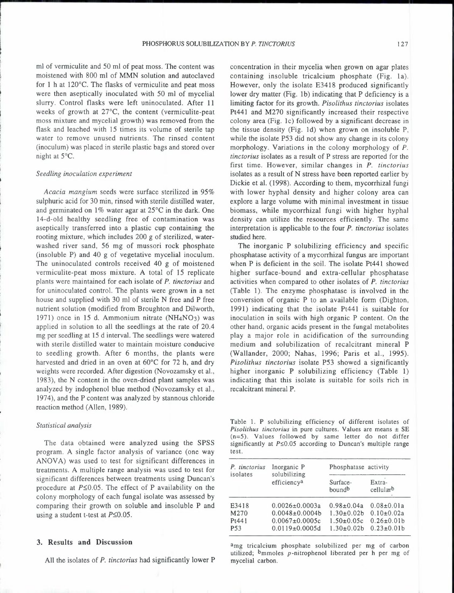ml of vermiculite and 50 ml of peat moss. The content was moistened with 800 ml of MMN solution and autoclaved for 1 hat 120°C. The flasks of vermiculite and peat moss were then aseptically inoculated with 50 ml of mycelial slurry. Control flasks were left uninoculated. After 11 weeks of growth at 27°C, the content (vermiculite-peat moss mixture and mycelial growth) was removed from the flask and leached with 15 times its volume of sterile tap water to remove unused nutrients. The rinsed content (inoculum) was placed in sterile plastic bags and stored over night at 5°C.

#### *Seedling inoculation experiment*

*Acacia mangium* seeds were surface sterilized in 95% sulphuric acid for 30 min, rinsed with sterile distilled water, and germinated on 1% water agar at 25°C in the dark. One 14-d-old healthy seedling free of contamination was aseptically transferred into a plastic cup containing the rooting mixture, which includes 200 g of sterilized, waterwashed river sand, 56 mg of mussori rock phosphate (insoluble P) and 40 g of vegetative mycelial inoculum. The uninoculated controls received 40 g of moistened vermiculite-peat moss mixture. A total of 15 replicate plants were maintained for each isolate of *P. tinctorius* and for uninoculated control. The plants were grown in a net house and supplied with 30 ml of sterile N free and P free nutrient solution (modified from Broughton and Dilworth, 1971) once in 15 d. Ammonium nitrate (NH4N03) was applied in solution to all the seedlings at the rate of 20.4 mg per seedling at 15 d interval. The seedlings were watered with sterile distilled water to maintain moisture conducive to seedling growth. After 6 months, the plants were harvested and dried in an oven at 60°C for 72 h, and dry weights were recorded. After digestion (Novozamsky et al., 1983), the N content in the oven-dried plant samples was analyzed by indophenol blue method (Novozamsky et al., 1974), and the P content was analyzed by stannous chloride reaction method (Allen, 1989).

#### *Statistical analysis*

The data obtained were analyzed using the SPSS program. A single factor analysis of variance (one way ANOVA) was used to test for significant differences in treatments. A multiple range analysis was used to test for significant differences between treatments using Duncan's procedure at  $P \le 0.05$ . The effect of P availability on the colony morphology of each fungal isolate was assessed by comparing their growth on soluble and insoluble P and using a student t-test at  $P \leq 0.05$ .

# 3. Results **and** Discussion

All the isolates of *P. tinctorius* had significantly lower P

concentration in their mycelia when grown on agar plates containing insoluble tricalcium phosphate (Fig. 1a). However, only the isolate E3418 produced significantly lower dry matter (Fig. 1b) indicating that P deficiency is a limiting factor for its growth. *Pisolithus tinctorius* isolates Pt441 and M270 significantly increased their respective colony area (Fig. le) followed by a significant decrease in the tissue density (Fig. ld) when grown on insoluble P, while the isolate P53 did not show any change in its colony morphology. Variations in the colony morphology of *P. tinctorius* isolates as a result of P stress are reported for the first time. However, similar changes in *P. tinctorius*  isolates as a result of N stress have been reported earlier by Dickie et al. (1998). According to them, mycorrhizal fungi with lower hyphal density and higher colony area can explore a large volume with minimal investment in tissue biomass, while mycorrhizal fungi with higher hyphal density can utilize the resources efficiently. The same interpretation is applicable to the four *P. tinctorius* isolates studied here.

The inorganic P solubilizing efficiency and specific phosphatase activity of a mycorrhizal fungus are important when P is deficient in the soil. The isolate Pt441 showed higher surface-bound and extra-cellular phosphatase activities when compared to other isolates of *P. tinctorius*  (Table 1). The enzyme phosphatase is involved in the conversion of organic P to an available form (Dighton, 1991) indicating that the isolate Pt441 is suitable for inoculation in soils with high organic P content. On the other hand, organic acids present in the fungal metabolites play a major role in acidification of the surrounding medium and solubilization of recalcitrant mineral P (Wallander, 2000; Nahas, 1996; Paris et al., 1995). *Pisolithus tinctorius* isolate P53 showed a significantly higher inorganic P solubilizing efficiency (Table 1) indicating that this isolate is suitable for soils rich in recalcitrant mineral P.

Table I. P solubilizing efficiency of different isolates of *Pisolithus tinctorius* in pure cultures. Values are means ± SE  $(n=5)$ . Values followed by same letter do not differ significantly at  $P \le 0.05$  according to Duncan's multiple range test.

| P. tinctorius<br>isolates | Inorganic P<br>solubilizing<br>efficiency <sup>a</sup> | Phosphatase activity |                     |  |
|---------------------------|--------------------------------------------------------|----------------------|---------------------|--|
|                           |                                                        | Surface-<br>boundb   | Extra-<br>cellularb |  |
| E3418                     | $0.0026 \pm 0.0003a$                                   | $0.98 \pm 0.04a$     | $0.08 \pm 0.01a$    |  |
| M270                      | $0.0048 \pm 0.0004$                                    | $1.30 \pm 0.02$      | $0.10 \pm 0.02a$    |  |
| Pt441                     | $0.0067 \pm 0.0005c$                                   | $1.50 \pm 0.05c$     | $0.26 \pm 0.01 b$   |  |
| <b>P53</b>                | $0.0119\pm0.0005d$                                     | $1.30 \pm 0.02$      | $0.23 \pm 0.01 b$   |  |

amg tricalcium phosphate solubilized per mg of carbon utilized; bmmoles p-nitrophenol liberated per h per mg of mycelial carbon.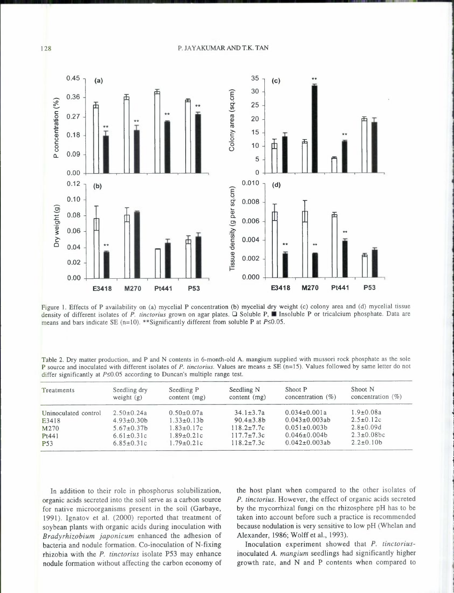# 128 P. JAYAKUMARANDT.K. TAN



Figure 1. Effects of P availability on (a) mycelial P concentration (b) mycelial dry weight (c) colony area and (d) mycelial tissue density of different isolates of *P. tinctorius* grown on agar plates. Q Soluble P, II Insoluble P or tricalcium phosphate. Data are means and bars indicate SE ( $n=10$ ), \*\*Significantly different from soluble P at  $P\leq 0.05$ .

Table 2. Dry matter production, and P and N contents in 6-month-old A. mangium supplied with mussori rock phosphate as the sole P source and inoculated with different isolates of *P. tinctorius*. Values are means  $\pm$  SE (n=15). Values followed by same letter do not differ significantly at  $P \le 0.05$  according to Duncan's multiple range test.

| Treatments           | Seedling dry<br>weight $(g)$ | Seedling P<br>content $(mg)$ | Seedling N<br>content $(mg)$ | Shoot P<br>concentration $(\% )$ | Shoot N<br>concentration $(\% )$ |
|----------------------|------------------------------|------------------------------|------------------------------|----------------------------------|----------------------------------|
| Uninoculated control | $2.50 \pm 0.24a$             | $0.50 \pm 0.07a$             | $34.1 \pm 3.7a$              | $0.034 \pm 0.001a$               | $1.9 \pm 0.08a$                  |
| E3418                | $4.93 \pm 0.30$              | $1.33 \pm 0.13 b$            | $90.4 \pm 3.8$ b             | $0.043 \pm 0.003$ ab             | $2.5 \pm 0.12c$                  |
| M270                 | $5.67 \pm 0.37 b$            | $1.83 \pm 0.17c$             | $118.2 \pm 7.7c$             | $0.051 \pm 0.003 b$              | $2.8 \pm 0.09d$                  |
| Pt441                | $6.61 \pm 0.31$ c            | $1.89 \pm 0.21c$             | $117.7 \pm 7.3c$             | $0.046 \pm 0.004 b$              | $2.3 \pm 0.08$ bc                |
| <b>P53</b>           | $6.85 \pm 0.31c$             | $1.79 \pm 0.21c$             | $118.2 \pm 7.3c$             | $0.042 \pm 0.003ab$              | $2.2 \pm 0.10 b$                 |

In addition to their role in phosphorus solubilization, organic acids secreted into the soil serve as a carbon source for native microorganisms present in the soil (Garbaye, 1991). Ignatov et al. (2000) reported that treatment of soybean plants with organic acids during inoculation with *Bradyrhizobium japonicum* enhanced the adhesion of bacteria and nodule formation. Co-inoculation of N-fixing rhizobia with the *P. tinctorius* isolate P53 may enhance nodule formation without affecting the carbon economy of the host plant when compared to the other isolates of *P. tinctorius.* However, the effect of organic acids secreted by the mycorrhizal fungi on the rhizosphere pH has to be taken into account before such a practice is recommended because nodulation is very sensitive to low pH (Whelan and Alexander, 1986; Wolff et al., 1993).

Inoculation experiment showed that *P. tinctorius*inoculated *A. mangium* seedlings had significantly higher growth rate, and N and P contents when compared to

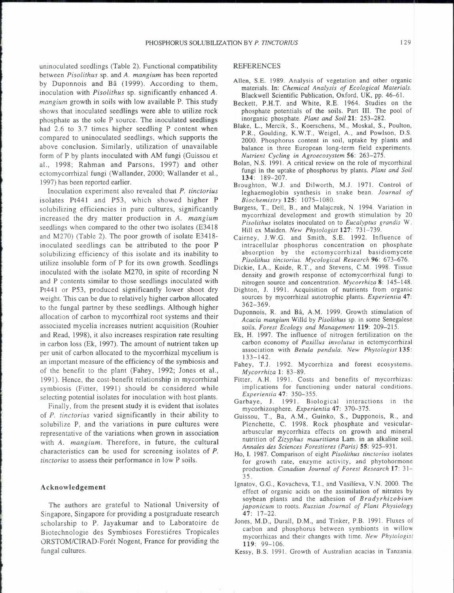uninoculated seedlings (Table 2). Functional compatibility between *Pisolithus* sp. and *A. mangium* has been reported by Duponnois and Ba (1999). According to them, inoculation with *Pisolithus* sp. significantly enhanced *A. mangium* growth in soils with low available P. This study shows that inoculated seedlings were able to utilize rock phosphate as the sole P source. The inoculated seedlings had 2.6 to 3.7 times higher seedling P content when compared to uninoculated seedlings, which supports the above conclusion. Similarly, utilization of unavailable form of P by plants inoculated with AM fungi (Guissou et al., 1998; Rahman and Parsons, 1997) and other ectomycorrhizal fungi (Wallander, 2000; Wallander et al., 1997) has been reported earlier.

Inoculation experiment also revealed that *P. tinctorius*  isolates Pt441 and P53, which showed higher P solubilizing efficiencies in pure cultures, significantly increased the dry matter production in *A. mangium*  seedlings when compared to the other two isolates (E3418 and M270) (Table 2). The poor growth of isolate E3418 inoculated seedlings can be attributed to the poor P solubilizing efficiency of this isolate and its inability to utilize insoluble form of P for its own growth. Seedlings inoculated with the isolate M270, in spite of recording N and P contents similar to those seedlings inoculated with Pt441 or P53, produced significantly lower shoot dry weight. This can be due to relatively higher carbon allocated to the fungal partner by these seedlings. Although higher allocation of carbon to mycorrhizal root systems and their associated mycelia increases nutrient acquisition (Rouhier and Read, 1998), it also increases respiration rate resulting in carbon loss (Ek, 1997). The amount of nutrient taken up per unit of carbon allocated to the mycorrhizal mycelium is an important measure of the efficiency of the symbiosis and of the benefit to the plant (Fahey, 1992; Jones et al., 1991). Hence, the cost-benefit relationship in mycorrhizal symbiosis (Fitter, 1991) should be considered while selecting potential isolates for inoculation with host plants.

Finally, from the present study it is evident that isolates of *P. tinctorius* varied significantly in their ability to solubilize P, and the variations in pure cultures were representative of the variations when grown in association with *A. mangium.* Therefore, in future, the cultural characteristics can be used for screening isolates of *P. tinctorius* to assess their performance in low P soils.

# Acknowledgement

The authors are grateful to National University of Singapore, Singapore for providing a postgraduate research scholarship to P. Jayakumar and to Laboratoire de Biotechnologie des Symbioses Forestiéres Tropicales ORSTOM/CIRAD-Foret Nogent, France for providing the fungal cultures.

#### REFERENCES

- Allen, S.E. 1989. Analysis of vegetation and other organic materials. In: *Chemical Analysis of Ecological Materials.*  Blackwell Scientific Publication, Oxford, UK, pp. 46-61.
- Beckett, P.H.T. and White, R.E. 1964. Studies on the phosphate potentials of the soils. Part III. The pool of inorganic phosphate. *Plant and Soil* 21: 253-282.
- Blake, L., Mercik, S., Koerschens, M., Moskal, S., Poulton, P.R., Goulding, K.W.T., Weigel, A., and Powlson, D.S. 2000. Phosphorus content in soil, uptake by plants and balance in three European long-term field experiments. *Nutrient Cycling in Agroecosystem* 56: 263-275.
- Bolan, N.S. 1991. A critical review on the role of mycorrhizal fungi in the uptake of phosphorus by plants. *Plant and Soil*  134: 189-207.
- Broughton, W.J. and Dilworth, M.J. 1971. Control of leghaemoglobin synthesis in snake bean. *Journal of Biochemistry* 125: 1075-1080.
- Burgess, T., Dell, B., and Malajczuk, N. 1994. Variation in mycorrhizal development and growth stimulation by 20 *Pisolithus* isolates inoculated on to *Eucalyptus grandis* W.
- Hill ex Maiden. *New Phytologist* 127: 731-739. Cairney, J.W.G. and Smith, S.E. 1992. Influence of intracellular phosphorus concentration on phosphate absorption by the ectomycorrhizal basidiomycete *Pisolithus tinctorius. Mycological Research* 96: 673-676.
- Dickie, I.A., Koide, R.T., and Stevens, C.M. 1998. Tissue density and growth response of ectomycorrhizal fungi to nitrogen source and concentration. *Mycorrhiza* 8: 145-148.
- Dighton, J. 1991. Acquisition of nutrients from organic sources by mycorrhizal autotrophic plants. *Experientia* 47: 362-369.
- Duponnois, R. and Bâ, A.M. 1999. Growth stimulation of *Acacia mangium* Willd by *Pisolithus* sp. in some Senegalese soils. *Forest Ecology and Management* 119: 209-215.
- Ek, H. 1997. The influence of nitrogen fertilization on the carbon economy of *Paxillus involutus* in ectomycorrhizal association with *Betula pendula. New Phytologist* 135: 133-142.
- Fahey, T.J. 1992. Mycorrhiza and forest ecosystems. *Mycorrhiza* 1: 83-89.
- Fitter, A.H. 1991. Costs and benefits of mycorrhizas: implications for functioning under natural conditions. *Experientia* 47: 350-355. Garbaye, J. 1991. Biological interactions in the
- mycorhizosphere. *Experientia* 47: 370-375.
- Guissou, T., Ba, A.M., Guinko, S., Dupponois, R., and Plenchette, C. 1998. Rock phosphate and vesiculararbuscular mycorrhiza effects on growth and mineral nutrition of *Zizyphus mauritiana* Lam. in an alkaline soil. *Annales des Sciences Forestieres (Paris)* 55: 925-931.
- Ho, I. 1987. Comparison of eight *Pisolithus tinctorius* isolates for growth rate, enzyme activity, and phytohormone production. *Canadian Journal of Forest Research* 17: 31- 35.
- Ignatov, G.G., Kovacheva, T.I., and Vasilfeva, V.N. 2000. The effect of organic acids on the assimilation of nitrates by soybean plants and the adhesion of *Bradyrhizobium japonicum* to roots. *Russian Journal of Plant Physiology*  47: 17-22.
- Jones, M.D., Durall, D.M., and Tinker, P.B. 1991. Fluxes of carbon and phosphorus between symbionts in willow mycorrhizas and their changes with time. *New Phytologist*  119: 99-106.
- Kessy, B.S. 1991. Growth of Australian acacias in Tanzania.